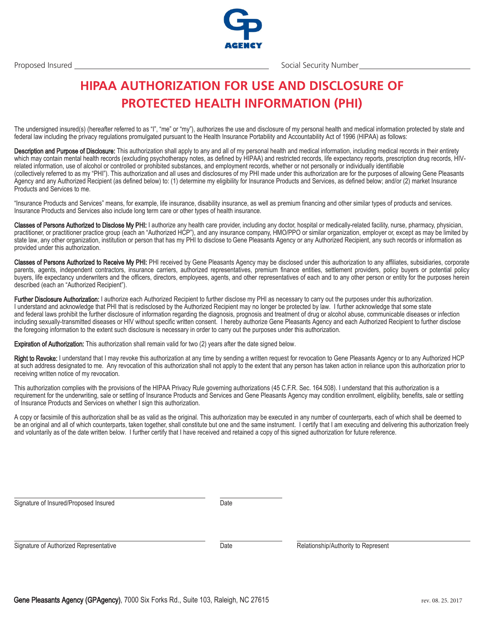Gene Pleasants Agency (GPAgency), 7000 Six Forks Rd., Suite 103, Raleigh, NC 27615 rev. 08. 25. 2017



## **HIPAA AUTHORIZATION FOR USE AND DISCLOSURE OF PROTECTED HEALTH INFORMATION (PHI)**

The undersigned insured(s) (hereafter referred to as "I", "me" or "my"), authorizes the use and disclosure of my personal health and medical information protected by state and federal law including the privacy regulations promulgated pursuant to the Health Insurance Portability and Accountability Act of 1996 (HIPAA) as follows:

Description and Purpose of Disclosure: This authorization shall apply to any and all of my personal health and medical information, including medical records in their entirety which may contain mental health records (excluding psychotherapy notes, as defined by HIPAA) and restricted records, life expectancy reports, prescription drug records, HIVrelated information, use of alcohol or controlled or prohibited substances, and employment records, whether or not personally or individually identifiable (collectively referred to as my "PHI"). This authorization and all uses and disclosures of my PHI made under this authorization are for the purposes of allowing Gene Pleasants Agency and any Authorized Recipient (as defined below) to: (1) determine my eligibility for Insurance Products and Services, as defined below; and/or (2) market Insurance Products and Services to me.

"Insurance Products and Services" means, for example, life insurance, disability insurance, as well as premium financing and other similar types of products and services. Insurance Products and Services also include long term care or other types of health insurance.

Classes of Persons Authorized to Disclose My PHI: I authorize any health care provider, including any doctor, hospital or medically-related facility, nurse, pharmacy, physician, practitioner, or practitioner practice group (each an "Authorized HCP"), and any insurance company, HMO/PPO or similar organization, employer or, except as may be limited by state law, any other organization, institution or person that has my PHI to disclose to Gene Pleasants Agency or any Authorized Recipient, any such records or information as provided under this authorization.

Classes of Persons Authorized to Receive My PHI: PHI received by Gene Pleasants Agency may be disclosed under this authorization to any affiliates, subsidiaries, corporate parents, agents, independent contractors, insurance carriers, authorized representatives, premium finance entities, settlement providers, policy buyers or potential policy buyers, life expectancy underwriters and the officers, directors, employees, agents, and other representatives of each and to any other person or entity for the purposes herein described (each an "Authorized Recipient").

Further Disclosure Authorization: I authorize each Authorized Recipient to further disclose my PHI as necessary to carry out the purposes under this authorization. I understand and acknowledge that PHI that is redisclosed by the Authorized Recipient may no longer be protected by law. I further acknowledge that some state and federal laws prohibit the further disclosure of information regarding the diagnosis, prognosis and treatment of drug or alcohol abuse, communicable diseases or infection including sexually-transmitted diseases or HIV without specific written consent. I hereby authorize Gene Pleasants Agency and each Authorized Recipient to further disclose the foregoing information to the extent such disclosure is necessary in order to carry out the purposes under this authorization.

Expiration of Authorization: This authorization shall remain valid for two (2) years after the date signed below.

Right to Revoke: I understand that I may revoke this authorization at any time by sending a written request for revocation to Gene Pleasants Agency or to any Authorized HCP at such address designated to me. Any revocation of this authorization shall not apply to the extent that any person has taken action in reliance upon this authorization prior to receiving written notice of my revocation.

This authorization complies with the provisions of the HIPAA Privacy Rule governing authorizations (45 C.F.R. Sec. 164.508). I understand that this authorization is a requirement for the underwriting, sale or settling of Insurance Products and Services and Gene Pleasants Agency may condition enrollment, eligibility, benefits, sale or settling of Insurance Products and Services on whether I sign this authorization.

A copy or facsimile of this authorization shall be as valid as the original. This authorization may be executed in any number of counterparts, each of which shall be deemed to be an original and all of which counterparts, taken together, shall constitute but one and the same instrument. I certify that I am executing and delivering this authorization freely and voluntarily as of the date written below. I further certify that I have received and retained a copy of this signed authorization for future reference.

Date

Signature of Authorized Representative

Signature of Insured/Proposed Insured

Date Relationship/Authority to Represent